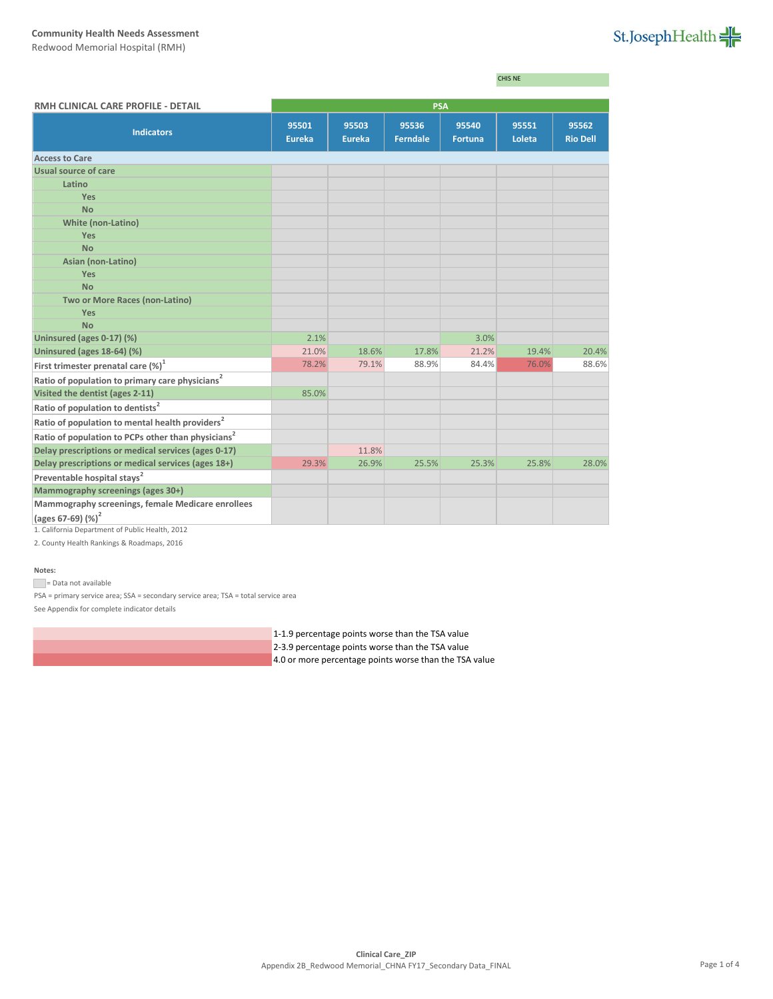## **Community Health Needs Assessment**

Redwood Memorial Hospital (RMH)

# St.JosephHealth

|                                                                |                        |                        |                          |                         | CHIS NE         |                          |  |  |
|----------------------------------------------------------------|------------------------|------------------------|--------------------------|-------------------------|-----------------|--------------------------|--|--|
| RMH CLINICAL CARE PROFILE - DETAIL                             | <b>PSA</b>             |                        |                          |                         |                 |                          |  |  |
| <b>Indicators</b>                                              | 95501<br><b>Eureka</b> | 95503<br><b>Eureka</b> | 95536<br><b>Ferndale</b> | 95540<br><b>Fortuna</b> | 95551<br>Loleta | 95562<br><b>Rio Dell</b> |  |  |
| <b>Access to Care</b>                                          |                        |                        |                          |                         |                 |                          |  |  |
| Usual source of care                                           |                        |                        |                          |                         |                 |                          |  |  |
| Latino                                                         |                        |                        |                          |                         |                 |                          |  |  |
| Yes                                                            |                        |                        |                          |                         |                 |                          |  |  |
| <b>No</b>                                                      |                        |                        |                          |                         |                 |                          |  |  |
| <b>White (non-Latino)</b>                                      |                        |                        |                          |                         |                 |                          |  |  |
| <b>Yes</b>                                                     |                        |                        |                          |                         |                 |                          |  |  |
| <b>No</b>                                                      |                        |                        |                          |                         |                 |                          |  |  |
| Asian (non-Latino)                                             |                        |                        |                          |                         |                 |                          |  |  |
| <b>Yes</b>                                                     |                        |                        |                          |                         |                 |                          |  |  |
| <b>No</b>                                                      |                        |                        |                          |                         |                 |                          |  |  |
| Two or More Races (non-Latino)                                 |                        |                        |                          |                         |                 |                          |  |  |
| Yes                                                            |                        |                        |                          |                         |                 |                          |  |  |
| <b>No</b>                                                      |                        |                        |                          |                         |                 |                          |  |  |
| Uninsured (ages 0-17) (%)                                      | 2.1%<br>21.0%          | 18.6%                  | 17.8%                    | 3.0%<br>21.2%           | 19.4%           | 20.4%                    |  |  |
| Uninsured (ages 18-64) (%)                                     | 78.2%                  | 79.1%                  | 88.9%                    | 84.4%                   | 76.0%           | 88.6%                    |  |  |
| First trimester prenatal care $(\%)^1$                         |                        |                        |                          |                         |                 |                          |  |  |
| Ratio of population to primary care physicians <sup>2</sup>    |                        |                        |                          |                         |                 |                          |  |  |
| Visited the dentist (ages 2-11)                                | 85.0%                  |                        |                          |                         |                 |                          |  |  |
| Ratio of population to dentists <sup>2</sup>                   |                        |                        |                          |                         |                 |                          |  |  |
| Ratio of population to mental health providers <sup>2</sup>    |                        |                        |                          |                         |                 |                          |  |  |
| Ratio of population to PCPs other than physicians <sup>2</sup> |                        |                        |                          |                         |                 |                          |  |  |
| Delay prescriptions or medical services (ages 0-17)            |                        | 11.8%                  |                          |                         |                 |                          |  |  |
| Delay prescriptions or medical services (ages 18+)             | 29.3%                  | 26.9%                  | 25.5%                    | 25.3%                   | 25.8%           | 28.0%                    |  |  |
| Preventable hospital stays <sup>2</sup>                        |                        |                        |                          |                         |                 |                          |  |  |
| Mammography screenings (ages 30+)                              |                        |                        |                          |                         |                 |                          |  |  |
| Mammography screenings, female Medicare enrollees              |                        |                        |                          |                         |                 |                          |  |  |
| (ages 67-69) $(\%)^2$                                          |                        |                        |                          |                         |                 |                          |  |  |
| 1. California Department of Public Health, 2012                |                        |                        |                          |                         |                 |                          |  |  |

2. County Health Rankings & Roadmaps, 2016

## **Notes:**

Data not available

PSA = primary service area; SSA = secondary service area; TSA = total service area See Appendix for complete indicator details

1-1.9 percentage points worse than the TSA value

2-3.9 percentage points worse than the TSA value

4.0 or more percentage points worse than the TSA value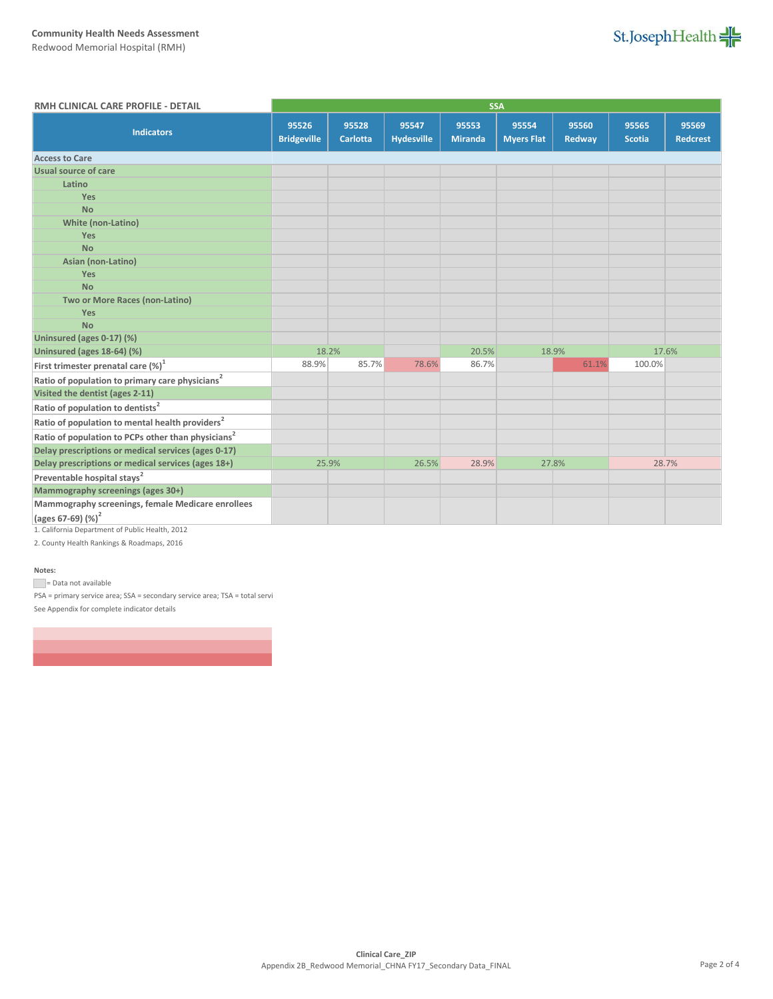# **Community Health Needs Assessment**

Redwood Memorial Hospital (RMH)



| RMH CLINICAL CARE PROFILE - DETAIL                             | <b>SSA</b>                  |                          |                            |                         |                            |                 |                        |                          |
|----------------------------------------------------------------|-----------------------------|--------------------------|----------------------------|-------------------------|----------------------------|-----------------|------------------------|--------------------------|
| <b>Indicators</b>                                              | 95526<br><b>Bridgeville</b> | 95528<br><b>Carlotta</b> | 95547<br><b>Hydesville</b> | 95553<br><b>Miranda</b> | 95554<br><b>Myers Flat</b> | 95560<br>Redway | 95565<br><b>Scotia</b> | 95569<br><b>Redcrest</b> |
| <b>Access to Care</b>                                          |                             |                          |                            |                         |                            |                 |                        |                          |
| Usual source of care                                           |                             |                          |                            |                         |                            |                 |                        |                          |
| Latino                                                         |                             |                          |                            |                         |                            |                 |                        |                          |
| Yes                                                            |                             |                          |                            |                         |                            |                 |                        |                          |
| <b>No</b>                                                      |                             |                          |                            |                         |                            |                 |                        |                          |
| <b>White (non-Latino)</b>                                      |                             |                          |                            |                         |                            |                 |                        |                          |
| Yes                                                            |                             |                          |                            |                         |                            |                 |                        |                          |
| <b>No</b>                                                      |                             |                          |                            |                         |                            |                 |                        |                          |
| Asian (non-Latino)                                             |                             |                          |                            |                         |                            |                 |                        |                          |
| Yes                                                            |                             |                          |                            |                         |                            |                 |                        |                          |
| <b>No</b>                                                      |                             |                          |                            |                         |                            |                 |                        |                          |
| Two or More Races (non-Latino)                                 |                             |                          |                            |                         |                            |                 |                        |                          |
| Yes                                                            |                             |                          |                            |                         |                            |                 |                        |                          |
| <b>No</b>                                                      |                             |                          |                            |                         |                            |                 |                        |                          |
| Uninsured (ages 0-17) (%)                                      |                             |                          |                            |                         |                            |                 |                        |                          |
| Uninsured (ages 18-64) (%)                                     | 18.2%                       |                          |                            | 20.5%                   |                            | 18.9%           |                        | 17.6%                    |
| First trimester prenatal care (%) <sup>1</sup>                 | 88.9%                       | 85.7%                    | 78.6%                      | 86.7%                   |                            | 61.1%           | 100.0%                 |                          |
| Ratio of population to primary care physicians <sup>2</sup>    |                             |                          |                            |                         |                            |                 |                        |                          |
| Visited the dentist (ages 2-11)                                |                             |                          |                            |                         |                            |                 |                        |                          |
| Ratio of population to dentists <sup>2</sup>                   |                             |                          |                            |                         |                            |                 |                        |                          |
| Ratio of population to mental health providers <sup>2</sup>    |                             |                          |                            |                         |                            |                 |                        |                          |
| Ratio of population to PCPs other than physicians <sup>2</sup> |                             |                          |                            |                         |                            |                 |                        |                          |
| Delay prescriptions or medical services (ages 0-17)            |                             |                          |                            |                         |                            |                 |                        |                          |
| Delay prescriptions or medical services (ages 18+)             | 25.9%                       |                          | 26.5%                      | 28.9%                   |                            | 27.8%           | 28.7%                  |                          |
| Preventable hospital stays <sup>2</sup>                        |                             |                          |                            |                         |                            |                 |                        |                          |
| Mammography screenings (ages 30+)                              |                             |                          |                            |                         |                            |                 |                        |                          |
| Mammography screenings, female Medicare enrollees              |                             |                          |                            |                         |                            |                 |                        |                          |
| (ages 67-69) (%) <sup>2</sup>                                  |                             |                          |                            |                         |                            |                 |                        |                          |
| 1. California Department of Public Health, 2012                |                             |                          |                            |                         |                            |                 |                        |                          |

2. County Health Rankings & Roadmaps, 2016

#### **Notes:**

= Data not available

PSA = primary service area; SSA = secondary service area; TSA = total servi See Appendix for complete indicator details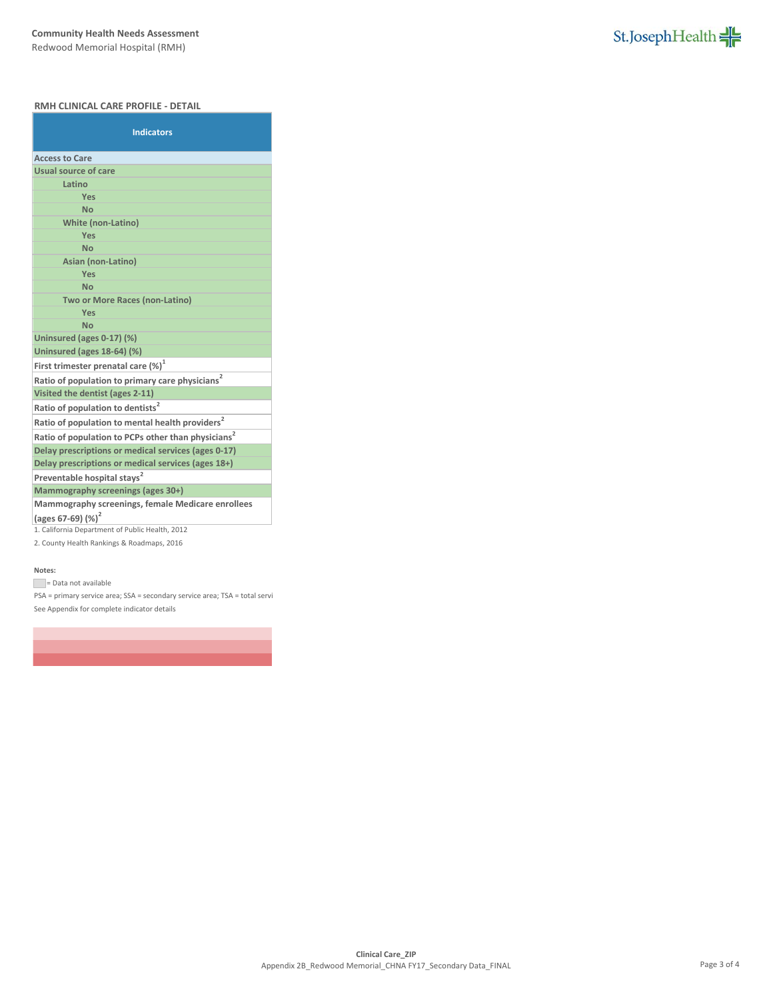## **RMH CLINICAL CARE PROFILE - DETAIL**

| <b>Indicators</b>                                              |  |  |  |  |
|----------------------------------------------------------------|--|--|--|--|
| <b>Access to Care</b>                                          |  |  |  |  |
| Usual source of care                                           |  |  |  |  |
| Latino                                                         |  |  |  |  |
| Yes                                                            |  |  |  |  |
| <b>No</b>                                                      |  |  |  |  |
| <b>White (non-Latino)</b>                                      |  |  |  |  |
| Yes                                                            |  |  |  |  |
| <b>No</b>                                                      |  |  |  |  |
| Asian (non-Latino)                                             |  |  |  |  |
| Yes                                                            |  |  |  |  |
| <b>No</b>                                                      |  |  |  |  |
| <b>Two or More Races (non-Latino)</b><br>Yes                   |  |  |  |  |
| <b>No</b>                                                      |  |  |  |  |
| Uninsured (ages 0-17) (%)                                      |  |  |  |  |
| Uninsured (ages 18-64) (%)                                     |  |  |  |  |
| First trimester prenatal care $(\%)^1$                         |  |  |  |  |
| Ratio of population to primary care physicians <sup>2</sup>    |  |  |  |  |
| Visited the dentist (ages 2-11)                                |  |  |  |  |
| Ratio of population to dentists <sup>2</sup>                   |  |  |  |  |
| Ratio of population to mental health providers <sup>2</sup>    |  |  |  |  |
| Ratio of population to PCPs other than physicians <sup>2</sup> |  |  |  |  |
| Delay prescriptions or medical services (ages 0-17)            |  |  |  |  |
| Delay prescriptions or medical services (ages 18+)             |  |  |  |  |
| Preventable hospital stays <sup>2</sup>                        |  |  |  |  |
| Mammography screenings (ages 30+)                              |  |  |  |  |
| Mammography screenings, female Medicare enrollees              |  |  |  |  |
| (ages 67-69) $(%)^2$                                           |  |  |  |  |
| 1. California Department of Public Health, 2012                |  |  |  |  |

2. County Health Rankings & Roadmaps, 2016

## **Notes:**

Data not available

PSA = primary service area; SSA = secondary service area; TSA = total servi See Appendix for complete indicator details

St.JosephHealth